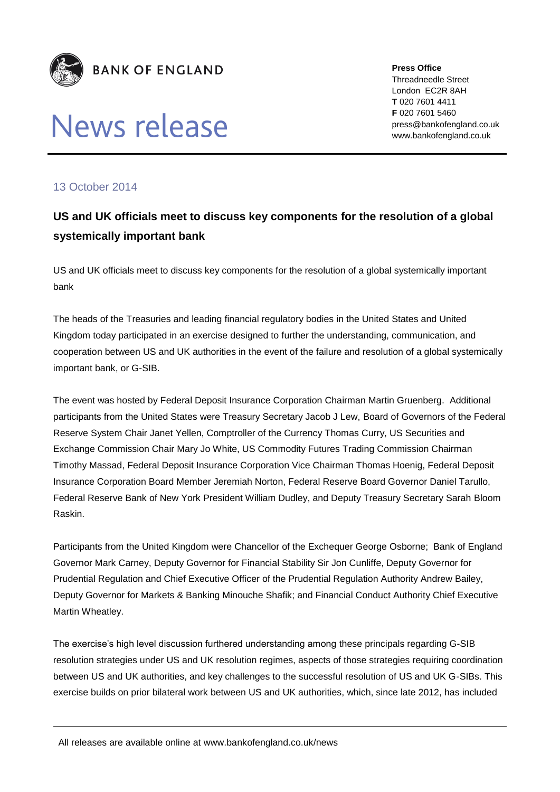

## News release

**Press Office** Threadneedle Street London EC2R 8AH **T** 020 7601 4411 **F** 020 7601 5460 press@bankofengland.co.uk www.bankofengland.co.uk

## 13 October 2014

## **US and UK officials meet to discuss key components for the resolution of a global systemically important bank**

US and UK officials meet to discuss key components for the resolution of a global systemically important bank

The heads of the Treasuries and leading financial regulatory bodies in the United States and United Kingdom today participated in an exercise designed to further the understanding, communication, and cooperation between US and UK authorities in the event of the failure and resolution of a global systemically important bank, or G-SIB.

The event was hosted by Federal Deposit Insurance Corporation Chairman Martin Gruenberg. Additional participants from the United States were Treasury Secretary Jacob J Lew, Board of Governors of the Federal Reserve System Chair Janet Yellen, Comptroller of the Currency Thomas Curry, US Securities and Exchange Commission Chair Mary Jo White, US Commodity Futures Trading Commission Chairman Timothy Massad, Federal Deposit Insurance Corporation Vice Chairman Thomas Hoenig, Federal Deposit Insurance Corporation Board Member Jeremiah Norton, Federal Reserve Board Governor Daniel Tarullo, Federal Reserve Bank of New York President William Dudley, and Deputy Treasury Secretary Sarah Bloom Raskin.

Participants from the United Kingdom were Chancellor of the Exchequer George Osborne; Bank of England Governor Mark Carney, Deputy Governor for Financial Stability Sir Jon Cunliffe, Deputy Governor for Prudential Regulation and Chief Executive Officer of the Prudential Regulation Authority Andrew Bailey, Deputy Governor for Markets & Banking Minouche Shafik; and Financial Conduct Authority Chief Executive Martin Wheatley.

The exercise's high level discussion furthered understanding among these principals regarding G-SIB resolution strategies under US and UK resolution regimes, aspects of those strategies requiring coordination between US and UK authorities, and key challenges to the successful resolution of US and UK G-SIBs. This exercise builds on prior bilateral work between US and UK authorities, which, since late 2012, has included